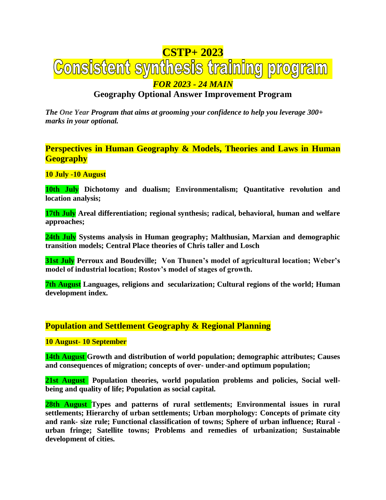# **CSTP+ 2023<br><u>Consistent synthesis training program</u>** *FOR 2023 - 24 MAIN*

# **Geography Optional Answer Improvement Program**

*The One Year Program that aims at grooming your confidence to help you leverage 300+ marks in your optional.*

**Perspectives in Human Geography & Models, Theories and Laws in Human Geography**

### **10 July -10 August**

**10th July Dichotomy and dualism; Environmentalism; Quantitative revolution and location analysis;**

**17th July Areal differentiation; regional synthesis; radical, behavioral, human and welfare approaches;** 

**24th July Systems analysis in Human geography; Malthusian, Marxian and demographic transition models; Central Place theories of Chris taller and Losch**

**31st July Perroux and Boudeville; Von Thunen's model of agricultural location; Weber's model of industrial location; Rostov's model of stages of growth.** 

**7th August Languages, religions and secularization; Cultural regions of the world; Human development index.**

# **Population and Settlement Geography & Regional Planning**

### **10 August- 10 September**

**14th August Growth and distribution of world population; demographic attributes; Causes and consequences of migration; concepts of over- under-and optimum population;**

**21st August Population theories, world population problems and policies, Social wellbeing and quality of life; Population as social capital.**

**28th August Types and patterns of rural settlements; Environmental issues in rural settlements; Hierarchy of urban settlements; Urban morphology: Concepts of primate city and rank- size rule; Functional classification of towns; Sphere of urban influence; Rural urban fringe; Satellite towns; Problems and remedies of urbanization; Sustainable development of cities.**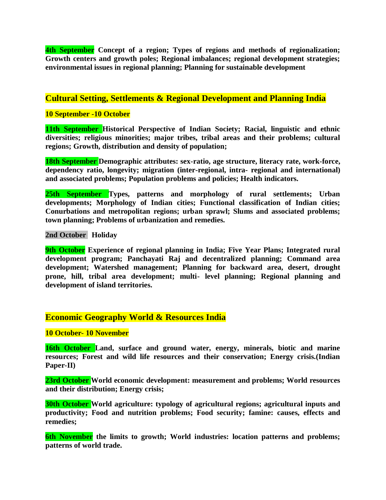**4th September Concept of a region; Types of regions and methods of regionalization; Growth centers and growth poles; Regional imbalances; regional development strategies; environmental issues in regional planning; Planning for sustainable development**

# **Cultural Setting, Settlements & Regional Development and Planning India**

## **10 September -10 October**

**11th September Historical Perspective of Indian Society; Racial, linguistic and ethnic diversities; religious minorities; major tribes, tribal areas and their problems; cultural regions; Growth, distribution and density of population;**

**18th September Demographic attributes: sex-ratio, age structure, literacy rate, work-force, dependency ratio, longevity; migration (inter-regional, intra- regional and international) and associated problems; Population problems and policies; Health indicators.**

**25th September Types, patterns and morphology of rural settlements; Urban developments; Morphology of Indian cities; Functional classification of Indian cities; Conurbations and metropolitan regions; urban sprawl; Slums and associated problems; town planning; Problems of urbanization and remedies.**

#### **2nd October Holiday**

**9th October Experience of regional planning in India; Five Year Plans; Integrated rural development program; Panchayati Raj and decentralized planning; Command area development; Watershed management; Planning for backward area, desert, drought prone, hill, tribal area development; multi- level planning; Regional planning and development of island territories.**

# **Economic Geography World & Resources India**

**10 October- 10 November**

**16th October Land, surface and ground water, energy, minerals, biotic and marine resources; Forest and wild life resources and their conservation; Energy crisis.(Indian Paper-II)**

**23rd October World economic development: measurement and problems; World resources and their distribution; Energy crisis;**

**30th October World agriculture: typology of agricultural regions; agricultural inputs and productivity; Food and nutrition problems; Food security; famine: causes, effects and remedies;**

**6th November the limits to growth; World industries: location patterns and problems; patterns of world trade.**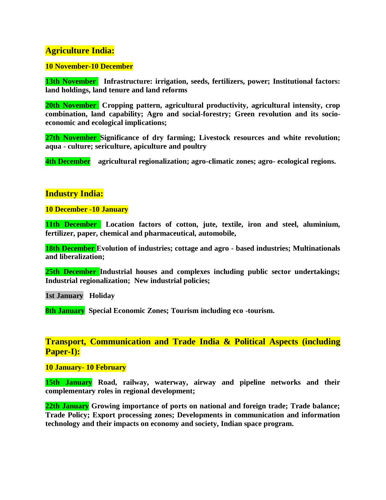# **Agriculture India:**

### **10 November-10 December**

**13th November** Infrastructure: irrigation, seeds, fertilizers, power; Institutional factors: **land holdings, land tenure and land reforms**

**20th November Cropping pattern, agricultural productivity, agricultural intensity, crop combination, land capability; Agro and social-forestry; Green revolution and its socioeconomic and ecological implications;**

**27th November Significance of dry farming; Livestock resources and white revolution; aqua - culture; sericulture, apiculture and poultry**

**4th December agricultural regionalization; agro-climatic zones; agro- ecological regions.**

# **Industry India:**

**10 December -10 January**

**11th December Location factors of cotton, jute, textile, iron and steel, aluminium, fertilizer, paper, chemical and pharmaceutical, automobile,**

**18th December Evolution of industries; cottage and agro - based industries; Multinationals and liberalization;**

**25th December Industrial houses and complexes including public sector undertakings; Industrial regionalization; New industrial policies;** 

**1st January Holiday**

**8th January Special Economic Zones; Tourism including eco -tourism.**

**Transport, Communication and Trade India & Political Aspects (including Paper-I):**

**10 January- 10 February**

**15th January Road, railway, waterway, airway and pipeline networks and their complementary roles in regional development;**

**22th January Growing importance of ports on national and foreign trade; Trade balance; Trade Policy; Export processing zones; Developments in communication and information technology and their impacts on economy and society, Indian space program.**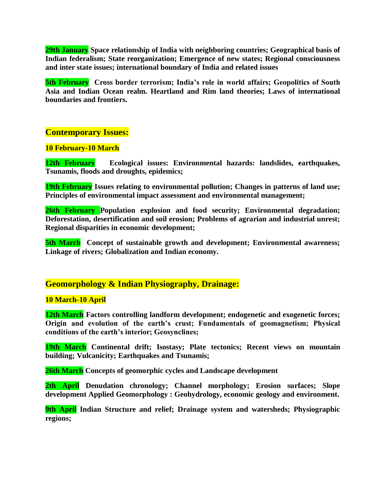**29th January Space relationship of India with neighboring countries; Geographical basis of Indian federalism; State reorganization; Emergence of new states; Regional consciousness and inter state issues; international boundary of India and related issues**

**5th February Cross border terrorism; India's role in world affairs; Geopolitics of South Asia and Indian Ocean realm. Heartland and Rim land theories; Laws of international boundaries and frontiers.**

# **Contemporary Issues:**

## **10 February-10 March**

**12th February Ecological issues: Environmental hazards: landslides, earthquakes, Tsunamis, floods and droughts, epidemics;**

**19th February Issues relating to environmental pollution; Changes in patterns of land use; Principles of environmental impact assessment and environmental management;**

**26th February Population explosion and food security; Environmental degradation; Deforestation, desertification and soil erosion; Problems of agrarian and industrial unrest; Regional disparities in economic development;**

**5th March** Concept of sustainable growth and development; Environmental awareness; **Linkage of rivers; Globalization and Indian economy.**

# **Geomorphology & Indian Physiography, Drainage:**

### **10 March-10 April**

**12th March Factors controlling landform development; endogenetic and exogenetic forces; Origin and evolution of the earth's crust; Fundamentals of geomagnetism; Physical conditions of the earth's interior; Geosynclines;**

**19th March Continental drift; Isostasy; Plate tectonics; Recent views on mountain building; Vulcanicity; Earthquakes and Tsunamis;**

**26th March Concepts of geomorphic cycles and Landscape development**

**2th April Denudation chronology; Channel morphology; Erosion surfaces; Slope development Applied Geomorphology : Geohydrology, economic geology and environment.**

**9th April Indian Structure and relief; Drainage system and watersheds; Physiographic regions;**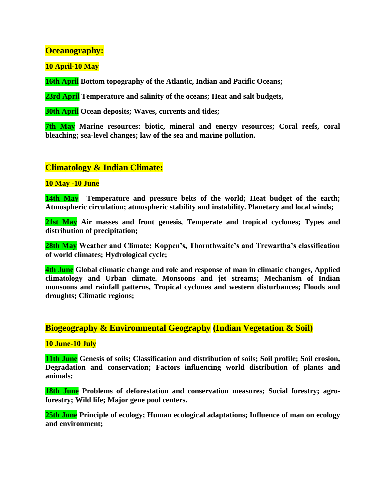# **Oceanography:**

**10 April-10 May**

**16th April Bottom topography of the Atlantic, Indian and Pacific Oceans;**

**23rd April Temperature and salinity of the oceans; Heat and salt budgets,**

**30th April Ocean deposits; Waves, currents and tides;**

**7th May Marine resources: biotic, mineral and energy resources; Coral reefs, coral bleaching; sea-level changes; law of the sea and marine pollution.**

# **Climatology & Indian Climate:**

### **10 May -10 June**

**14th May Temperature and pressure belts of the world; Heat budget of the earth; Atmospheric circulation; atmospheric stability and instability. Planetary and local winds;** 

**21st May Air masses and front genesis, Temperate and tropical cyclones; Types and distribution of precipitation;**

**28th May Weather and Climate; Koppen's, Thornthwaite's and Trewartha's classification of world climates; Hydrological cycle;**

**4th June Global climatic change and role and response of man in climatic changes, Applied climatology and Urban climate. Monsoons and jet streams; Mechanism of Indian monsoons and rainfall patterns, Tropical cyclones and western disturbances; Floods and droughts; Climatic regions;**

# **Biogeography & Environmental Geography (Indian Vegetation & Soil)**

### **10 June-10 July**

**11th June Genesis of soils; Classification and distribution of soils; Soil profile; Soil erosion, Degradation and conservation; Factors influencing world distribution of plants and animals;**

**18th June Problems of deforestation and conservation measures; Social forestry; agroforestry; Wild life; Major gene pool centers.**

**25th June Principle of ecology; Human ecological adaptations; Influence of man on ecology and environment;**